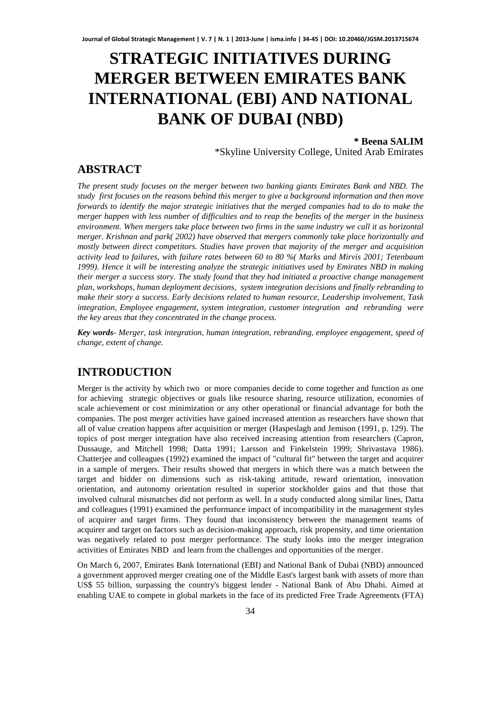# **STRATEGIC INITIATIVES DURING MERGER BETWEEN EMIRATES BANK INTERNATIONAL (EBI) AND NATIONAL BANK OF DUBAI (NBD)**

**\* Beena SALIM** \*Skyline University College, United Arab Emirates

**ABSTRACT** 

*The present study focuses on the merger between two banking giants Emirates Bank and NBD. The study first focuses on the reasons behind this merger to give a background information and then move forwards to identify the major strategic initiatives that the merged companies had to do to make the merger happen with less number of difficulties and to reap the benefits of the merger in the business environment. When mergers take place between two firms in the same industry we call it as horizontal merger. Krishnan and park( 2002) have observed that mergers commonly take place horizontally and mostly between direct competitors. Studies have proven that majority of the merger and acquisition activity lead to failures, with failure rates between 60 to 80 %( Marks and Mirvis 2001; Tetenbaum 1999). Hence it will be interesting analyze the strategic initiatives used by Emirates NBD in making their merger a success story. The study found that they had initiated a proactive change management plan, workshops, human deployment decisions, system integration decisions and finally rebranding to make their story a success. Early decisions related to human resource, Leadership involvement, Task integration, Employee engagement, system integration, customer integration and rebranding were the key areas that they concentrated in the change process.* 

*Key words- Merger, task integration, human integration, rebranding, employee engagement, speed of change, extent of change.* 

# **INTRODUCTION**

Merger is the activity by which two or more companies decide to come together and function as one for achieving strategic objectives or goals like resource sharing, resource utilization, economies of scale achievement or cost minimization or any other operational or financial advantage for both the companies. The post merger activities have gained increased attention as researchers have shown that all of value creation happens after acquisition or merger (Haspeslagh and Jemison (1991, p. 129). The topics of post merger integration have also received increasing attention from researchers (Capron, Dussauge, and Mitchell 1998; Datta 1991; Larsson and Finkelstein 1999; Shrivastava 1986). Chatterjee and colleagues (1992) examined the impact of "cultural fit" between the target and acquirer in a sample of mergers. Their results showed that mergers in which there was a match between the target and bidder on dimensions such as risk-taking attitude, reward orientation, innovation orientation, and autonomy orientation resulted in superior stockholder gains and that those that involved cultural mismatches did not perform as well. In a study conducted along similar lines, Datta and colleagues (1991) examined the performance impact of incompatibility in the management styles of acquirer and target firms. They found that inconsistency between the management teams of acquirer and target on factors such as decision-making approach, risk propensity, and time orientation was negatively related to post merger performance. The study looks into the merger integration activities of Emirates NBD and learn from the challenges and opportunities of the merger.

On March 6, 2007, Emirates Bank International (EBI) and National Bank of Dubai (NBD) announced a government approved merger creating one of the Middle East's largest bank with assets of more than US\$ 55 billion, surpassing the country's biggest lender - National Bank of Abu Dhabi. Aimed at enabling UAE to compete in global markets in the face of its predicted Free Trade Agreements (FTA)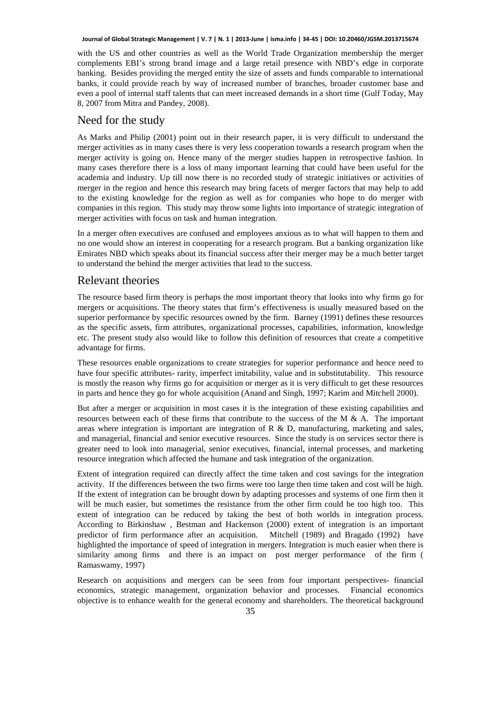with the US and other countries as well as the World Trade Organization membership the merger complements EBI's strong brand image and a large retail presence with NBD's edge in corporate banking. Besides providing the merged entity the size of assets and funds comparable to international banks, it could provide reach by way of increased number of branches, broader customer base and even a pool of internal staff talents that can meet increased demands in a short time (Gulf Today, May 8, 2007 from Mitra and Pandey, 2008).

# Need for the study

As Marks and Philip (2001) point out in their research paper, it is very difficult to understand the merger activities as in many cases there is very less cooperation towards a research program when the merger activity is going on. Hence many of the merger studies happen in retrospective fashion. In many cases therefore there is a loss of many important learning that could have been useful for the academia and industry. Up till now there is no recorded study of strategic initiatives or activities of merger in the region and hence this research may bring facets of merger factors that may help to add to the existing knowledge for the region as well as for companies who hope to do merger with companies in this region. This study may throw some lights into importance of strategic integration of merger activities with focus on task and human integration.

In a merger often executives are confused and employees anxious as to what will happen to them and no one would show an interest in cooperating for a research program. But a banking organization like Emirates NBD which speaks about its financial success after their merger may be a much better target to understand the behind the merger activities that lead to the success.

# Relevant theories

The resource based firm theory is perhaps the most important theory that looks into why firms go for mergers or acquisitions. The theory states that firm's effectiveness is usually measured based on the superior performance by specific resources owned by the firm. Barney (1991) defines these resources as the specific assets, firm attributes, organizational processes, capabilities, information, knowledge etc. The present study also would like to follow this definition of resources that create a competitive advantage for firms.

These resources enable organizations to create strategies for superior performance and hence need to have four specific attributes- rarity, imperfect imitability, value and in substitutability. This resource is mostly the reason why firms go for acquisition or merger as it is very difficult to get these resources in parts and hence they go for whole acquisition (Anand and Singh, 1997; Karim and Mitchell 2000).

But after a merger or acquisition in most cases it is the integration of these existing capabilities and resources between each of these firms that contribute to the success of the M  $\&$  A. The important areas where integration is important are integration of R  $\&$  D, manufacturing, marketing and sales, and managerial, financial and senior executive resources. Since the study is on services sector there is greater need to look into managerial, senior executives, financial, internal processes, and marketing resource integration which affected the humane and task integration of the organization.

Extent of integration required can directly affect the time taken and cost savings for the integration activity. If the differences between the two firms were too large then time taken and cost will be high. If the extent of integration can be brought down by adapting processes and systems of one firm then it will be much easier, but sometimes the resistance from the other firm could be too high too. This extent of integration can be reduced by taking the best of both worlds in integration process. According to Birkinshaw , Bestman and Hackenson (2000) extent of integration is an important predictor of firm performance after an acquisition. Mitchell (1989) and Bragado (1992) have highlighted the importance of speed of integration in mergers. Integration is much easier when there is similarity among firms and there is an impact on post merger performance of the firm ( Ramaswamy, 1997)

Research on acquisitions and mergers can be seen from four important perspectives- financial economics, strategic management, organization behavior and processes. Financial economics objective is to enhance wealth for the general economy and shareholders. The theoretical background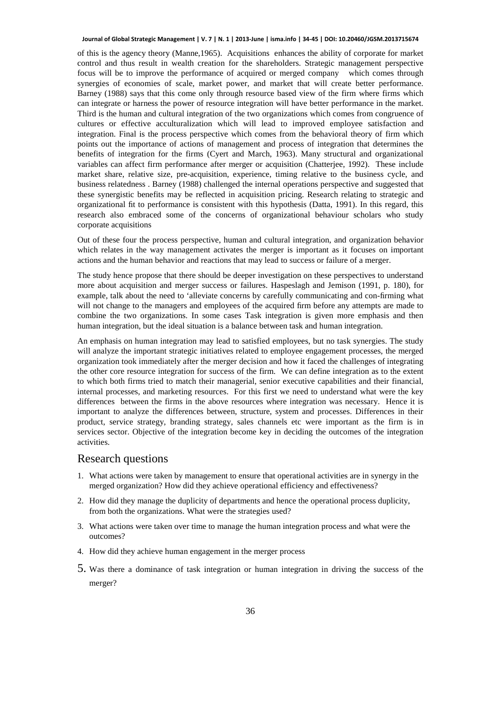of this is the agency theory (Manne,1965). Acquisitions enhances the ability of corporate for market control and thus result in wealth creation for the shareholders. Strategic management perspective focus will be to improve the performance of acquired or merged company which comes through synergies of economies of scale, market power, and market that will create better performance. Barney (1988) says that this come only through resource based view of the firm where firms which can integrate or harness the power of resource integration will have better performance in the market. Third is the human and cultural integration of the two organizations which comes from congruence of cultures or effective acculturalization which will lead to improved employee satisfaction and integration. Final is the process perspective which comes from the behavioral theory of firm which points out the importance of actions of management and process of integration that determines the benefits of integration for the firms (Cyert and March, 1963). Many structural and organizational variables can affect firm performance after merger or acquisition (Chatterjee, 1992). These include market share, relative size, pre-acquisition, experience, timing relative to the business cycle, and business relatedness . Barney (1988) challenged the internal operations perspective and suggested that these synergistic benefits may be reflected in acquisition pricing. Research relating to strategic and organizational fit to performance is consistent with this hypothesis (Datta, 1991). In this regard, this research also embraced some of the concerns of organizational behaviour scholars who study corporate acquisitions

Out of these four the process perspective, human and cultural integration, and organization behavior which relates in the way management activates the merger is important as it focuses on important actions and the human behavior and reactions that may lead to success or failure of a merger.

The study hence propose that there should be deeper investigation on these perspectives to understand more about acquisition and merger success or failures. Haspeslagh and Jemison (1991, p. 180), for example, talk about the need to 'alleviate concerns by carefully communicating and con-firming what will not change to the managers and employees of the acquired firm before any attempts are made to combine the two organizations. In some cases Task integration is given more emphasis and then human integration, but the ideal situation is a balance between task and human integration.

An emphasis on human integration may lead to satisfied employees, but no task synergies. The study will analyze the important strategic initiatives related to employee engagement processes, the merged organization took immediately after the merger decision and how it faced the challenges of integrating the other core resource integration for success of the firm. We can define integration as to the extent to which both firms tried to match their managerial, senior executive capabilities and their financial, internal processes, and marketing resources. For this first we need to understand what were the key differences between the firms in the above resources where integration was necessary. Hence it is important to analyze the differences between, structure, system and processes. Differences in their product, service strategy, branding strategy, sales channels etc were important as the firm is in services sector. Objective of the integration become key in deciding the outcomes of the integration activities.

### Research questions

- 1. What actions were taken by management to ensure that operational activities are in synergy in the merged organization? How did they achieve operational efficiency and effectiveness?
- 2. How did they manage the duplicity of departments and hence the operational process duplicity, from both the organizations. What were the strategies used?
- 3. What actions were taken over time to manage the human integration process and what were the outcomes?
- 4. How did they achieve human engagement in the merger process
- 5. Was there a dominance of task integration or human integration in driving the success of the merger?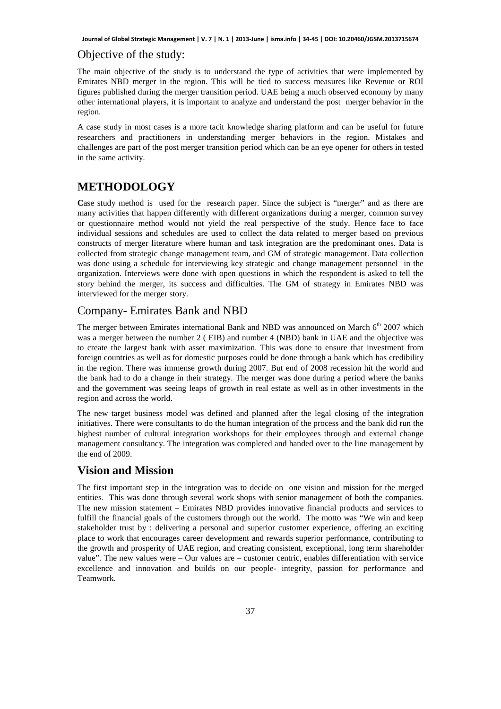## Objective of the study:

The main objective of the study is to understand the type of activities that were implemented by Emirates NBD merger in the region. This will be tied to success measures like Revenue or ROI figures published during the merger transition period. UAE being a much observed economy by many other international players, it is important to analyze and understand the post merger behavior in the region.

A case study in most cases is a more tacit knowledge sharing platform and can be useful for future researchers and practitioners in understanding merger behaviors in the region. Mistakes and challenges are part of the post merger transition period which can be an eye opener for others in tested in the same activity.

# **METHODOLOGY**

**C**ase study method is used for the research paper. Since the subject is "merger" and as there are many activities that happen differently with different organizations during a merger, common survey or questionnaire method would not yield the real perspective of the study. Hence face to face individual sessions and schedules are used to collect the data related to merger based on previous constructs of merger literature where human and task integration are the predominant ones. Data is collected from strategic change management team, and GM of strategic management. Data collection was done using a schedule for interviewing key strategic and change management personnel in the organization. Interviews were done with open questions in which the respondent is asked to tell the story behind the merger, its success and difficulties. The GM of strategy in Emirates NBD was interviewed for the merger story.

# Company- Emirates Bank and NBD

The merger between Emirates international Bank and NBD was announced on March  $6<sup>th</sup>$  2007 which was a merger between the number 2 ( EIB) and number 4 (NBD) bank in UAE and the objective was to create the largest bank with asset maximization. This was done to ensure that investment from foreign countries as well as for domestic purposes could be done through a bank which has credibility in the region. There was immense growth during 2007. But end of 2008 recession hit the world and the bank had to do a change in their strategy. The merger was done during a period where the banks and the government was seeing leaps of growth in real estate as well as in other investments in the region and across the world.

The new target business model was defined and planned after the legal closing of the integration initiatives. There were consultants to do the human integration of the process and the bank did run the highest number of cultural integration workshops for their employees through and external change management consultancy. The integration was completed and handed over to the line management by the end of 2009.

# **Vision and Mission**

The first important step in the integration was to decide on one vision and mission for the merged entities. This was done through several work shops with senior management of both the companies. The new mission statement – Emirates NBD provides innovative financial products and services to fulfill the financial goals of the customers through out the world. The motto was "We win and keep stakeholder trust by : delivering a personal and superior customer experience, offering an exciting place to work that encourages career development and rewards superior performance, contributing to the growth and prosperity of UAE region, and creating consistent, exceptional, long term shareholder value". The new values were – Our values are – customer centric, enables differentiation with service excellence and innovation and builds on our people- integrity, passion for performance and Teamwork.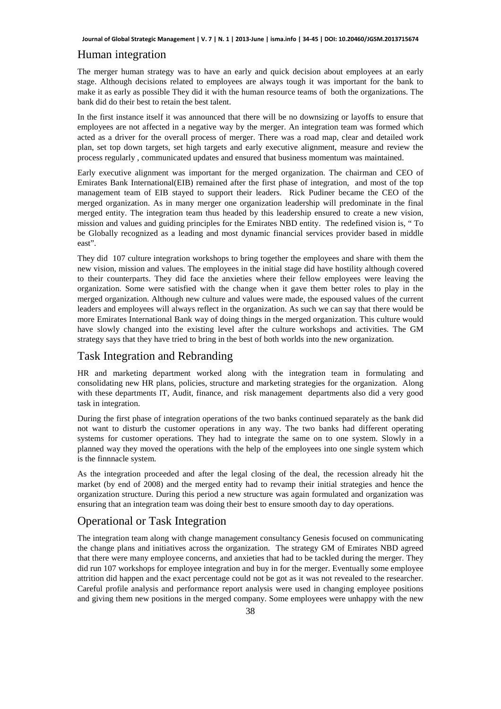### Human integration

The merger human strategy was to have an early and quick decision about employees at an early stage. Although decisions related to employees are always tough it was important for the bank to make it as early as possible They did it with the human resource teams of both the organizations. The bank did do their best to retain the best talent.

In the first instance itself it was announced that there will be no downsizing or layoffs to ensure that employees are not affected in a negative way by the merger. An integration team was formed which acted as a driver for the overall process of merger. There was a road map, clear and detailed work plan, set top down targets, set high targets and early executive alignment, measure and review the process regularly , communicated updates and ensured that business momentum was maintained.

Early executive alignment was important for the merged organization. The chairman and CEO of Emirates Bank International(EIB) remained after the first phase of integration, and most of the top management team of EIB stayed to support their leaders. Rick Pudiner became the CEO of the merged organization. As in many merger one organization leadership will predominate in the final merged entity. The integration team thus headed by this leadership ensured to create a new vision, mission and values and guiding principles for the Emirates NBD entity. The redefined vision is, " To be Globally recognized as a leading and most dynamic financial services provider based in middle east".

They did 107 culture integration workshops to bring together the employees and share with them the new vision, mission and values. The employees in the initial stage did have hostility although covered to their counterparts. They did face the anxieties where their fellow employees were leaving the organization. Some were satisfied with the change when it gave them better roles to play in the merged organization. Although new culture and values were made, the espoused values of the current leaders and employees will always reflect in the organization. As such we can say that there would be more Emirates International Bank way of doing things in the merged organization. This culture would have slowly changed into the existing level after the culture workshops and activities. The GM strategy says that they have tried to bring in the best of both worlds into the new organization.

# Task Integration and Rebranding

HR and marketing department worked along with the integration team in formulating and consolidating new HR plans, policies, structure and marketing strategies for the organization. Along with these departments IT, Audit, finance, and risk management departments also did a very good task in integration.

During the first phase of integration operations of the two banks continued separately as the bank did not want to disturb the customer operations in any way. The two banks had different operating systems for customer operations. They had to integrate the same on to one system. Slowly in a planned way they moved the operations with the help of the employees into one single system which is the finnnacle system.

As the integration proceeded and after the legal closing of the deal, the recession already hit the market (by end of 2008) and the merged entity had to revamp their initial strategies and hence the organization structure. During this period a new structure was again formulated and organization was ensuring that an integration team was doing their best to ensure smooth day to day operations.

# Operational or Task Integration

The integration team along with change management consultancy Genesis focused on communicating the change plans and initiatives across the organization. The strategy GM of Emirates NBD agreed that there were many employee concerns, and anxieties that had to be tackled during the merger. They did run 107 workshops for employee integration and buy in for the merger. Eventually some employee attrition did happen and the exact percentage could not be got as it was not revealed to the researcher. Careful profile analysis and performance report analysis were used in changing employee positions and giving them new positions in the merged company. Some employees were unhappy with the new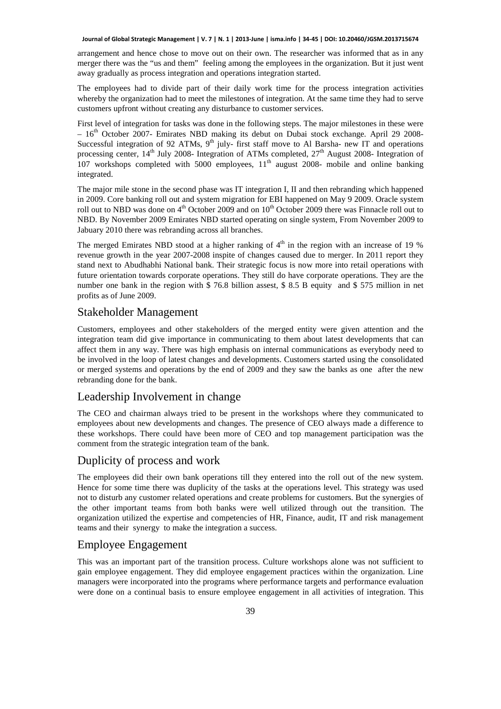arrangement and hence chose to move out on their own. The researcher was informed that as in any merger there was the "us and them" feeling among the employees in the organization. But it just went away gradually as process integration and operations integration started.

The employees had to divide part of their daily work time for the process integration activities whereby the organization had to meet the milestones of integration. At the same time they had to serve customers upfront without creating any disturbance to customer services.

First level of integration for tasks was done in the following steps. The major milestones in these were – 16<sup>th</sup> October 2007- Emirates NBD making its debut on Dubai stock exchange. April 29 2008-Successful integration of 92 ATMs,  $9<sup>th</sup>$  july- first staff move to Al Barsha- new IT and operations processing center,  $14^{th}$  July 2008- Integration of ATMs completed,  $27^{th}$  August 2008- Integration of 107 workshops completed with 5000 employees, 11<sup>th</sup> august 2008- mobile and online banking integrated.

The major mile stone in the second phase was IT integration I, II and then rebranding which happened in 2009. Core banking roll out and system migration for EBI happened on May 9 2009. Oracle system roll out to NBD was done on  $4<sup>th</sup>$  October 2009 and on  $10<sup>th</sup>$  October 2009 there was Finnacle roll out to NBD. By November 2009 Emirates NBD started operating on single system, From November 2009 to Jabuary 2010 there was rebranding across all branches.

The merged Emirates NBD stood at a higher ranking of  $4<sup>th</sup>$  in the region with an increase of 19 % revenue growth in the year 2007-2008 inspite of changes caused due to merger. In 2011 report they stand next to Abudhabhi National bank. Their strategic focus is now more into retail operations with future orientation towards corporate operations. They still do have corporate operations. They are the number one bank in the region with \$ 76.8 billion assest, \$ 8.5 B equity and \$ 575 million in net profits as of June 2009.

# Stakeholder Management

Customers, employees and other stakeholders of the merged entity were given attention and the integration team did give importance in communicating to them about latest developments that can affect them in any way. There was high emphasis on internal communications as everybody need to be involved in the loop of latest changes and developments. Customers started using the consolidated or merged systems and operations by the end of 2009 and they saw the banks as one after the new rebranding done for the bank.

### Leadership Involvement in change

The CEO and chairman always tried to be present in the workshops where they communicated to employees about new developments and changes. The presence of CEO always made a difference to these workshops. There could have been more of CEO and top management participation was the comment from the strategic integration team of the bank.

# Duplicity of process and work

The employees did their own bank operations till they entered into the roll out of the new system. Hence for some time there was duplicity of the tasks at the operations level. This strategy was used not to disturb any customer related operations and create problems for customers. But the synergies of the other important teams from both banks were well utilized through out the transition. The organization utilized the expertise and competencies of HR, Finance, audit, IT and risk management teams and their synergy to make the integration a success.

# Employee Engagement

This was an important part of the transition process. Culture workshops alone was not sufficient to gain employee engagement. They did employee engagement practices within the organization. Line managers were incorporated into the programs where performance targets and performance evaluation were done on a continual basis to ensure employee engagement in all activities of integration. This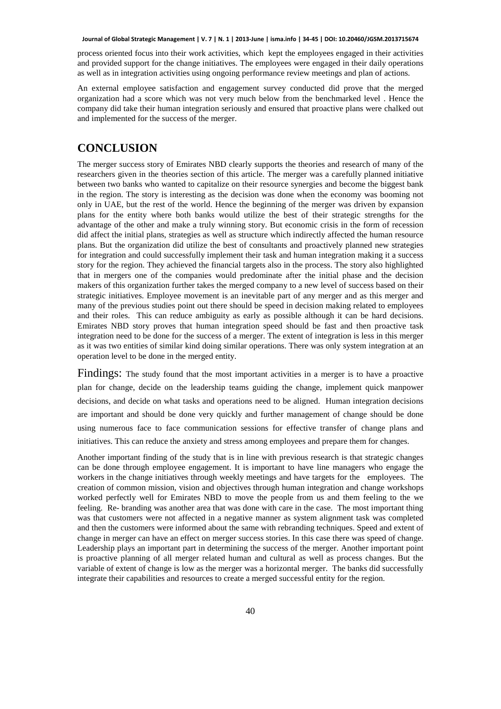process oriented focus into their work activities, which kept the employees engaged in their activities and provided support for the change initiatives. The employees were engaged in their daily operations as well as in integration activities using ongoing performance review meetings and plan of actions.

An external employee satisfaction and engagement survey conducted did prove that the merged organization had a score which was not very much below from the benchmarked level . Hence the company did take their human integration seriously and ensured that proactive plans were chalked out and implemented for the success of the merger.

# **CONCLUSION**

The merger success story of Emirates NBD clearly supports the theories and research of many of the researchers given in the theories section of this article. The merger was a carefully planned initiative between two banks who wanted to capitalize on their resource synergies and become the biggest bank in the region. The story is interesting as the decision was done when the economy was booming not only in UAE, but the rest of the world. Hence the beginning of the merger was driven by expansion plans for the entity where both banks would utilize the best of their strategic strengths for the advantage of the other and make a truly winning story. But economic crisis in the form of recession did affect the initial plans, strategies as well as structure which indirectly affected the human resource plans. But the organization did utilize the best of consultants and proactively planned new strategies for integration and could successfully implement their task and human integration making it a success story for the region. They achieved the financial targets also in the process. The story also highlighted that in mergers one of the companies would predominate after the initial phase and the decision makers of this organization further takes the merged company to a new level of success based on their strategic initiatives. Employee movement is an inevitable part of any merger and as this merger and many of the previous studies point out there should be speed in decision making related to employees and their roles. This can reduce ambiguity as early as possible although it can be hard decisions. Emirates NBD story proves that human integration speed should be fast and then proactive task integration need to be done for the success of a merger. The extent of integration is less in this merger as it was two entities of similar kind doing similar operations. There was only system integration at an operation level to be done in the merged entity.

Findings: The study found that the most important activities in a merger is to have a proactive plan for change, decide on the leadership teams guiding the change, implement quick manpower decisions, and decide on what tasks and operations need to be aligned. Human integration decisions are important and should be done very quickly and further management of change should be done using numerous face to face communication sessions for effective transfer of change plans and initiatives. This can reduce the anxiety and stress among employees and prepare them for changes.

Another important finding of the study that is in line with previous research is that strategic changes can be done through employee engagement. It is important to have line managers who engage the workers in the change initiatives through weekly meetings and have targets for the employees. The creation of common mission, vision and objectives through human integration and change workshops worked perfectly well for Emirates NBD to move the people from us and them feeling to the we feeling. Re- branding was another area that was done with care in the case. The most important thing was that customers were not affected in a negative manner as system alignment task was completed and then the customers were informed about the same with rebranding techniques. Speed and extent of change in merger can have an effect on merger success stories. In this case there was speed of change. Leadership plays an important part in determining the success of the merger. Another important point is proactive planning of all merger related human and cultural as well as process changes. But the variable of extent of change is low as the merger was a horizontal merger. The banks did successfully integrate their capabilities and resources to create a merged successful entity for the region.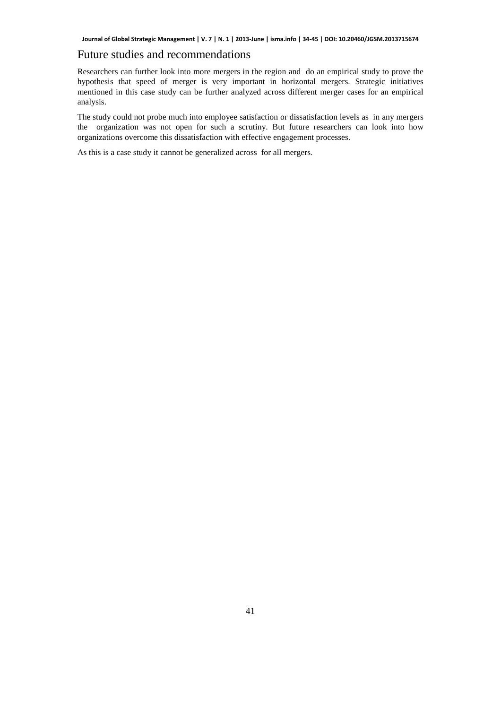# Future studies and recommendations

Researchers can further look into more mergers in the region and do an empirical study to prove the hypothesis that speed of merger is very important in horizontal mergers. Strategic initiatives mentioned in this case study can be further analyzed across different merger cases for an empirical analysis.

The study could not probe much into employee satisfaction or dissatisfaction levels as in any mergers the organization was not open for such a scrutiny. But future researchers can look into how organizations overcome this dissatisfaction with effective engagement processes.

As this is a case study it cannot be generalized across for all mergers.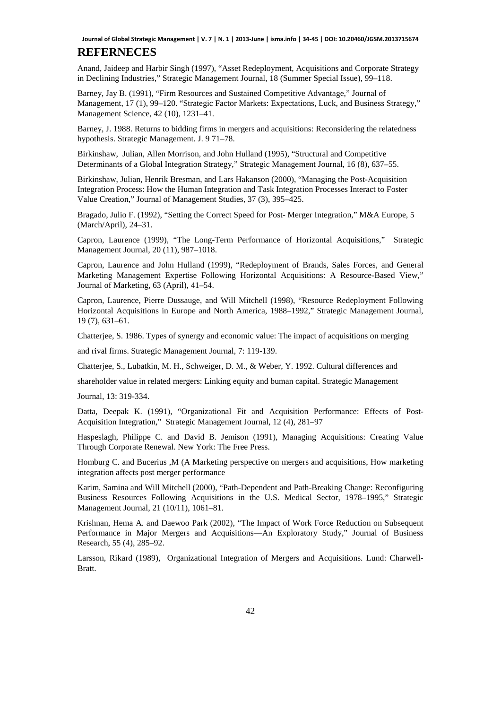# **REFERNECES**

Anand, Jaideep and Harbir Singh (1997), "Asset Redeployment, Acquisitions and Corporate Strategy in Declining Industries," Strategic Management Journal, 18 (Summer Special Issue), 99–118.

Barney, Jay B. (1991), "Firm Resources and Sustained Competitive Advantage," Journal of Management, 17 (1), 99–120. "Strategic Factor Markets: Expectations, Luck, and Business Strategy," Management Science, 42 (10), 1231–41.

Barney, J. 1988. Returns to bidding firms in mergers and acquisitions: Reconsidering the relatedness hypothesis. Strategic Management. J. 9 71–78.

Birkinshaw, Julian, Allen Morrison, and John Hulland (1995), "Structural and Competitive Determinants of a Global Integration Strategy," Strategic Management Journal, 16 (8), 637–55.

Birkinshaw, Julian, Henrik Bresman, and Lars Hakanson (2000), "Managing the Post-Acquisition Integration Process: How the Human Integration and Task Integration Processes Interact to Foster Value Creation," Journal of Management Studies, 37 (3), 395–425.

Bragado, Julio F. (1992), "Setting the Correct Speed for Post- Merger Integration," M&A Europe, 5 (March/April), 24–31.

Capron, Laurence (1999), "The Long-Term Performance of Horizontal Acquisitions," Strategic Management Journal, 20 (11), 987–1018.

Capron, Laurence and John Hulland (1999), "Redeployment of Brands, Sales Forces, and General Marketing Management Expertise Following Horizontal Acquisitions: A Resource-Based View," Journal of Marketing, 63 (April), 41–54.

Capron, Laurence, Pierre Dussauge, and Will Mitchell (1998), "Resource Redeployment Following Horizontal Acquisitions in Europe and North America, 1988–1992," Strategic Management Journal, 19 (7), 631–61.

Chatterjee, S. 1986. Types of synergy and economic value: The impact of acquisitions on merging

and rival firms. Strategic Management Journal, 7: 119-139.

Chatterjee, S., Lubatkin, M. H., Schweiger, D. M., & Weber, Y. 1992. Cultural differences and

shareholder value in related mergers: Linking equity and buman capital. Strategic Management

Journal, 13: 319-334.

Datta, Deepak K. (1991), "Organizational Fit and Acquisition Performance: Effects of Post-Acquisition Integration," Strategic Management Journal, 12 (4), 281–97

Haspeslagh, Philippe C. and David B. Jemison (1991), Managing Acquisitions: Creating Value Through Corporate Renewal. New York: The Free Press.

Homburg C. and Bucerius ,M (A Marketing perspective on mergers and acquisitions, How marketing integration affects post merger performance

Karim, Samina and Will Mitchell (2000), "Path-Dependent and Path-Breaking Change: Reconfiguring Business Resources Following Acquisitions in the U.S. Medical Sector, 1978–1995," Strategic Management Journal, 21 (10/11), 1061–81.

Krishnan, Hema A. and Daewoo Park (2002), "The Impact of Work Force Reduction on Subsequent Performance in Major Mergers and Acquisitions—An Exploratory Study," Journal of Business Research, 55 (4), 285–92.

Larsson, Rikard (1989), Organizational Integration of Mergers and Acquisitions. Lund: Charwell-Bratt.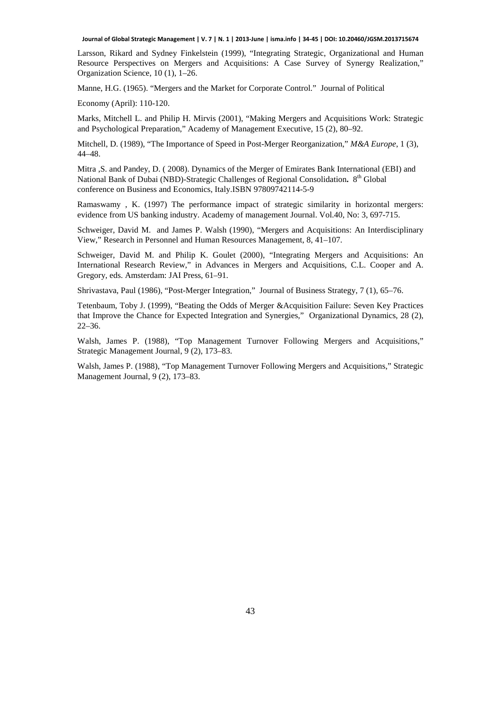Larsson, Rikard and Sydney Finkelstein (1999), "Integrating Strategic, Organizational and Human Resource Perspectives on Mergers and Acquisitions: A Case Survey of Synergy Realization," Organization Science, 10 (1), 1–26.

Manne, H.G. (1965). "Mergers and the Market for Corporate Control." Journal of Political

Economy (April): 110-120.

Marks, Mitchell L. and Philip H. Mirvis (2001), "Making Mergers and Acquisitions Work: Strategic and Psychological Preparation," Academy of Management Executive, 15 (2), 80–92.

Mitchell, D. (1989), "The Importance of Speed in Post-Merger Reorganization," *M&A Europe*, 1 (3), 44–48.

Mitra ,S. and Pandey, D. ( 2008). Dynamics of the Merger of Emirates Bank International (EBI) and National Bank of Dubai (NBD)-Strategic Challenges of Regional Consolidation**.** 8th Global conference on Business and Economics, Italy.ISBN 97809742114-5-9

Ramaswamy , K. (1997) The performance impact of strategic similarity in horizontal mergers: evidence from US banking industry. Academy of management Journal. Vol.40, No: 3, 697-715.

Schweiger, David M. and James P. Walsh (1990), "Mergers and Acquisitions: An Interdisciplinary View," Research in Personnel and Human Resources Management, 8, 41–107.

Schweiger, David M. and Philip K. Goulet (2000), "Integrating Mergers and Acquisitions: An International Research Review," in Advances in Mergers and Acquisitions, C.L. Cooper and A. Gregory, eds. Amsterdam: JAI Press, 61–91.

Shrivastava, Paul (1986), "Post-Merger Integration," Journal of Business Strategy, 7 (1), 65–76.

Tetenbaum, Toby J. (1999), "Beating the Odds of Merger &Acquisition Failure: Seven Key Practices that Improve the Chance for Expected Integration and Synergies," Organizational Dynamics, 28 (2), 22–36.

Walsh, James P. (1988), "Top Management Turnover Following Mergers and Acquisitions," Strategic Management Journal, 9 (2), 173–83.

Walsh, James P. (1988), "Top Management Turnover Following Mergers and Acquisitions," Strategic Management Journal, 9 (2), 173–83.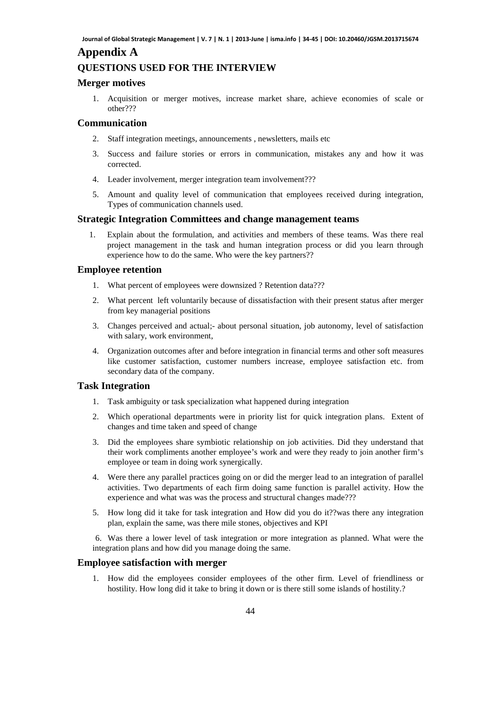# **Appendix A**

# **QUESTIONS USED FOR THE INTERVIEW**

#### **Merger motives**

1. Acquisition or merger motives, increase market share, achieve economies of scale or other???

### **Communication**

- 2. Staff integration meetings, announcements , newsletters, mails etc
- 3. Success and failure stories or errors in communication, mistakes any and how it was corrected.
- 4. Leader involvement, merger integration team involvement???
- 5. Amount and quality level of communication that employees received during integration, Types of communication channels used.

#### **Strategic Integration Committees and change management teams**

1. Explain about the formulation, and activities and members of these teams. Was there real project management in the task and human integration process or did you learn through experience how to do the same. Who were the key partners??

#### **Employee retention**

- 1. What percent of employees were downsized ? Retention data???
- 2. What percent left voluntarily because of dissatisfaction with their present status after merger from key managerial positions
- 3. Changes perceived and actual;- about personal situation, job autonomy, level of satisfaction with salary, work environment,
- 4. Organization outcomes after and before integration in financial terms and other soft measures like customer satisfaction, customer numbers increase, employee satisfaction etc. from secondary data of the company.

### **Task Integration**

- 1. Task ambiguity or task specialization what happened during integration
- 2. Which operational departments were in priority list for quick integration plans. Extent of changes and time taken and speed of change
- 3. Did the employees share symbiotic relationship on job activities. Did they understand that their work compliments another employee's work and were they ready to join another firm's employee or team in doing work synergically.
- 4. Were there any parallel practices going on or did the merger lead to an integration of parallel activities. Two departments of each firm doing same function is parallel activity. How the experience and what was was the process and structural changes made???
- 5. How long did it take for task integration and How did you do it??was there any integration plan, explain the same, was there mile stones, objectives and KPI

6. Was there a lower level of task integration or more integration as planned. What were the integration plans and how did you manage doing the same.

#### **Employee satisfaction with merger**

1. How did the employees consider employees of the other firm. Level of friendliness or hostility. How long did it take to bring it down or is there still some islands of hostility.?